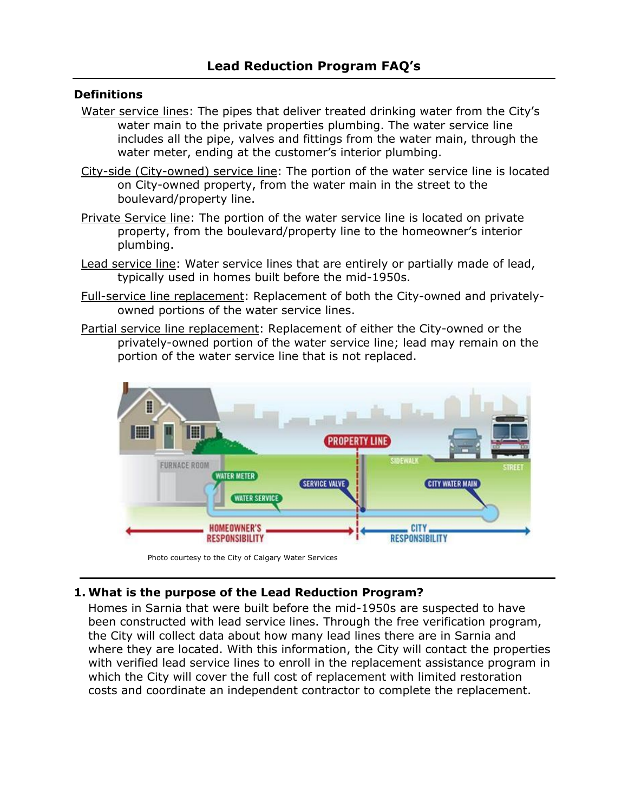#### **Definitions**

- Water service lines: The pipes that deliver treated drinking water from the City's water main to the private properties plumbing. The water service line includes all the pipe, valves and fittings from the water main, through the water meter, ending at the customer's interior plumbing.
- City-side (City-owned) service line: The portion of the water service line is located on City-owned property, from the water main in the street to the boulevard/property line.
- Private Service line: The portion of the water service line is located on private property, from the boulevard/property line to the homeowner's interior plumbing.
- Lead service line: Water service lines that are entirely or partially made of lead, typically used in homes built before the mid-1950s.
- Full-service line replacement: Replacement of both the City-owned and privatelyowned portions of the water service lines.
- Partial service line replacement: Replacement of either the City-owned or the privately-owned portion of the water service line; lead may remain on the portion of the water service line that is not replaced.



Photo courtesy to the City of Calgary Water Services

### **1. What is the purpose of the Lead Reduction Program?**

Homes in Sarnia that were built before the mid-1950s are suspected to have been constructed with lead service lines. Through the free verification program, the City will collect data about how many lead lines there are in Sarnia and where they are located. With this information, the City will contact the properties with verified lead service lines to enroll in the replacement assistance program in which the City will cover the full cost of replacement with limited restoration costs and coordinate an independent contractor to complete the replacement.